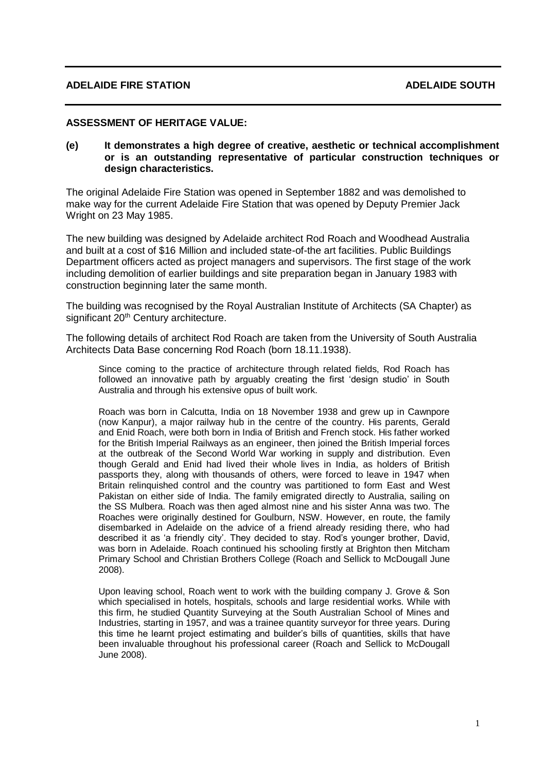### **ASSESSMENT OF HERITAGE VALUE:**

**(e) It demonstrates a high degree of creative, aesthetic or technical accomplishment or is an outstanding representative of particular construction techniques or design characteristics.**

The original Adelaide Fire Station was opened in September 1882 and was demolished to make way for the current Adelaide Fire Station that was opened by Deputy Premier Jack Wright on 23 May 1985.

The new building was designed by Adelaide architect Rod Roach and Woodhead Australia and built at a cost of \$16 Million and included state-of-the art facilities. Public Buildings Department officers acted as project managers and supervisors. The first stage of the work including demolition of earlier buildings and site preparation began in January 1983 with construction beginning later the same month.

The building was recognised by the Royal Australian Institute of Architects (SA Chapter) as significant 20<sup>th</sup> Century architecture.

The following details of architect Rod Roach are taken from the University of South Australia Architects Data Base concerning Rod Roach (born 18.11.1938).

Since coming to the practice of architecture through related fields, Rod Roach has followed an innovative path by arguably creating the first 'design studio' in South Australia and through his extensive opus of built work.

Roach was born in Calcutta, India on 18 November 1938 and grew up in Cawnpore (now Kanpur), a major railway hub in the centre of the country. His parents, Gerald and Enid Roach, were both born in India of British and French stock. His father worked for the British Imperial Railways as an engineer, then joined the British Imperial forces at the outbreak of the Second World War working in supply and distribution. Even though Gerald and Enid had lived their whole lives in India, as holders of British passports they, along with thousands of others, were forced to leave in 1947 when Britain relinquished control and the country was partitioned to form East and West Pakistan on either side of India. The family emigrated directly to Australia, sailing on the SS Mulbera. Roach was then aged almost nine and his sister Anna was two. The Roaches were originally destined for Goulburn, NSW. However, en route, the family disembarked in Adelaide on the advice of a friend already residing there, who had described it as 'a friendly city'. They decided to stay. Rod's younger brother, David, was born in Adelaide. Roach continued his schooling firstly at Brighton then Mitcham Primary School and Christian Brothers College (Roach and Sellick to McDougall June 2008).

Upon leaving school, Roach went to work with the building company J. Grove & Son which specialised in hotels, hospitals, schools and large residential works. While with this firm, he studied Quantity Surveying at the South Australian School of Mines and Industries, starting in 1957, and was a trainee quantity surveyor for three years. During this time he learnt project estimating and builder's bills of quantities, skills that have been invaluable throughout his professional career (Roach and Sellick to McDougall June 2008).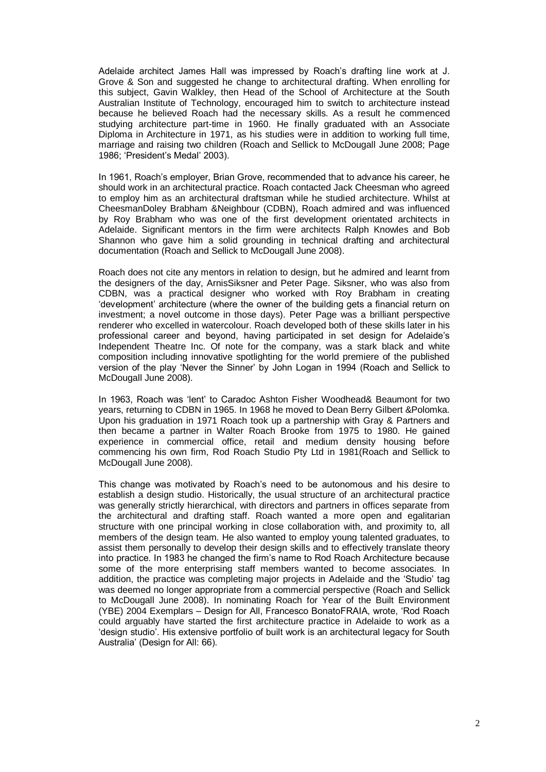Adelaide architect James Hall was impressed by Roach's drafting line work at J. Grove & Son and suggested he change to architectural drafting. When enrolling for this subject, Gavin Walkley, then Head of the School of Architecture at the South Australian Institute of Technology, encouraged him to switch to architecture instead because he believed Roach had the necessary skills. As a result he commenced studying architecture part-time in 1960. He finally graduated with an Associate Diploma in Architecture in 1971, as his studies were in addition to working full time, marriage and raising two children (Roach and Sellick to McDougall June 2008; Page 1986; 'President's Medal' 2003).

In 1961, Roach's employer, Brian Grove, recommended that to advance his career, he should work in an architectural practice. Roach contacted Jack Cheesman who agreed to employ him as an architectural draftsman while he studied architecture. Whilst at CheesmanDoley Brabham &Neighbour (CDBN), Roach admired and was influenced by Roy Brabham who was one of the first development orientated architects in Adelaide. Significant mentors in the firm were architects Ralph Knowles and Bob Shannon who gave him a solid grounding in technical drafting and architectural documentation (Roach and Sellick to McDougall June 2008).

Roach does not cite any mentors in relation to design, but he admired and learnt from the designers of the day, ArnisSiksner and Peter Page. Siksner, who was also from CDBN, was a practical designer who worked with Roy Brabham in creating 'development' architecture (where the owner of the building gets a financial return on investment; a novel outcome in those days). Peter Page was a brilliant perspective renderer who excelled in watercolour. Roach developed both of these skills later in his professional career and beyond, having participated in set design for Adelaide's Independent Theatre Inc. Of note for the company, was a stark black and white composition including innovative spotlighting for the world premiere of the published version of the play 'Never the Sinner' by John Logan in 1994 (Roach and Sellick to McDougall June 2008).

In 1963, Roach was 'lent' to Caradoc Ashton Fisher Woodhead& Beaumont for two years, returning to CDBN in 1965. In 1968 he moved to Dean Berry Gilbert &Polomka. Upon his graduation in 1971 Roach took up a partnership with Gray & Partners and then became a partner in Walter Roach Brooke from 1975 to 1980. He gained experience in commercial office, retail and medium density housing before commencing his own firm, Rod Roach Studio Pty Ltd in 1981(Roach and Sellick to McDougall June 2008).

This change was motivated by Roach's need to be autonomous and his desire to establish a design studio. Historically, the usual structure of an architectural practice was generally strictly hierarchical, with directors and partners in offices separate from the architectural and drafting staff. Roach wanted a more open and egalitarian structure with one principal working in close collaboration with, and proximity to, all members of the design team. He also wanted to employ young talented graduates, to assist them personally to develop their design skills and to effectively translate theory into practice. In 1983 he changed the firm's name to Rod Roach Architecture because some of the more enterprising staff members wanted to become associates. In addition, the practice was completing major projects in Adelaide and the 'Studio' tag was deemed no longer appropriate from a commercial perspective (Roach and Sellick to McDougall June 2008). In nominating Roach for Year of the Built Environment (YBE) 2004 Exemplars – Design for All, Francesco BonatoFRAIA, wrote, 'Rod Roach could arguably have started the first architecture practice in Adelaide to work as a 'design studio'. His extensive portfolio of built work is an architectural legacy for South Australia' (Design for All: 66).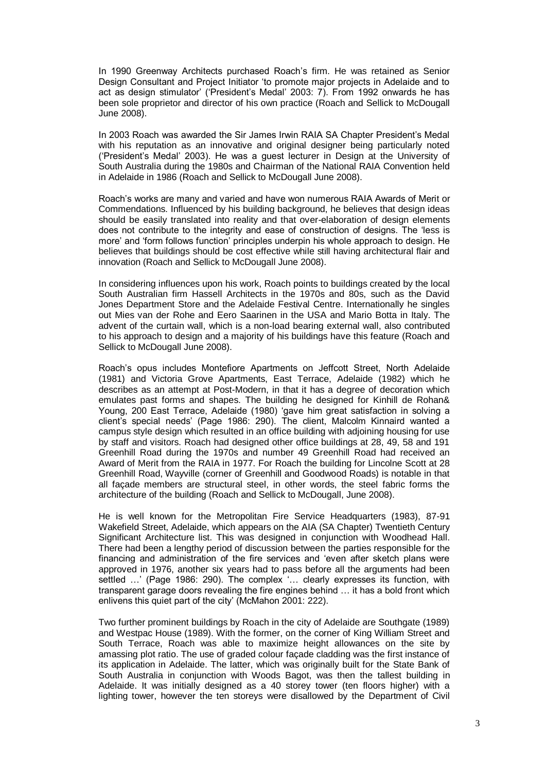In 1990 Greenway Architects purchased Roach's firm. He was retained as Senior Design Consultant and Project Initiator 'to promote major projects in Adelaide and to act as design stimulator' ('President's Medal' 2003: 7). From 1992 onwards he has been sole proprietor and director of his own practice (Roach and Sellick to McDougall June 2008).

In 2003 Roach was awarded the Sir James Irwin RAIA SA Chapter President's Medal with his reputation as an innovative and original designer being particularly noted ('President's Medal' 2003). He was a guest lecturer in Design at the University of South Australia during the 1980s and Chairman of the National RAIA Convention held in Adelaide in 1986 (Roach and Sellick to McDougall June 2008).

Roach's works are many and varied and have won numerous RAIA Awards of Merit or Commendations. Influenced by his building background, he believes that design ideas should be easily translated into reality and that over-elaboration of design elements does not contribute to the integrity and ease of construction of designs. The 'less is more' and 'form follows function' principles underpin his whole approach to design. He believes that buildings should be cost effective while still having architectural flair and innovation (Roach and Sellick to McDougall June 2008).

In considering influences upon his work, Roach points to buildings created by the local South Australian firm Hassell Architects in the 1970s and 80s, such as the David Jones Department Store and the Adelaide Festival Centre. Internationally he singles out Mies van der Rohe and Eero Saarinen in the USA and Mario Botta in Italy. The advent of the curtain wall, which is a non-load bearing external wall, also contributed to his approach to design and a majority of his buildings have this feature (Roach and Sellick to McDougall June 2008).

Roach's opus includes Montefiore Apartments on Jeffcott Street, North Adelaide (1981) and Victoria Grove Apartments, East Terrace, Adelaide (1982) which he describes as an attempt at Post-Modern, in that it has a degree of decoration which emulates past forms and shapes. The building he designed for Kinhill de Rohan& Young, 200 East Terrace, Adelaide (1980) 'gave him great satisfaction in solving a client's special needs' (Page 1986: 290). The client, Malcolm Kinnaird wanted a campus style design which resulted in an office building with adjoining housing for use by staff and visitors. Roach had designed other office buildings at 28, 49, 58 and 191 Greenhill Road during the 1970s and number 49 Greenhill Road had received an Award of Merit from the RAIA in 1977. For Roach the building for Lincolne Scott at 28 Greenhill Road, Wayville (corner of Greenhill and Goodwood Roads) is notable in that all façade members are structural steel, in other words, the steel fabric forms the architecture of the building (Roach and Sellick to McDougall, June 2008).

He is well known for the Metropolitan Fire Service Headquarters (1983), 87-91 Wakefield Street, Adelaide, which appears on the AIA (SA Chapter) Twentieth Century Significant Architecture list. This was designed in conjunction with Woodhead Hall. There had been a lengthy period of discussion between the parties responsible for the financing and administration of the fire services and 'even after sketch plans were approved in 1976, another six years had to pass before all the arguments had been settled …' (Page 1986: 290). The complex '… clearly expresses its function, with transparent garage doors revealing the fire engines behind … it has a bold front which enlivens this quiet part of the city' (McMahon 2001: 222).

Two further prominent buildings by Roach in the city of Adelaide are Southgate (1989) and Westpac House (1989). With the former, on the corner of King William Street and South Terrace, Roach was able to maximize height allowances on the site by amassing plot ratio. The use of graded colour façade cladding was the first instance of its application in Adelaide. The latter, which was originally built for the State Bank of South Australia in conjunction with Woods Bagot, was then the tallest building in Adelaide. It was initially designed as a 40 storey tower (ten floors higher) with a lighting tower, however the ten storeys were disallowed by the Department of Civil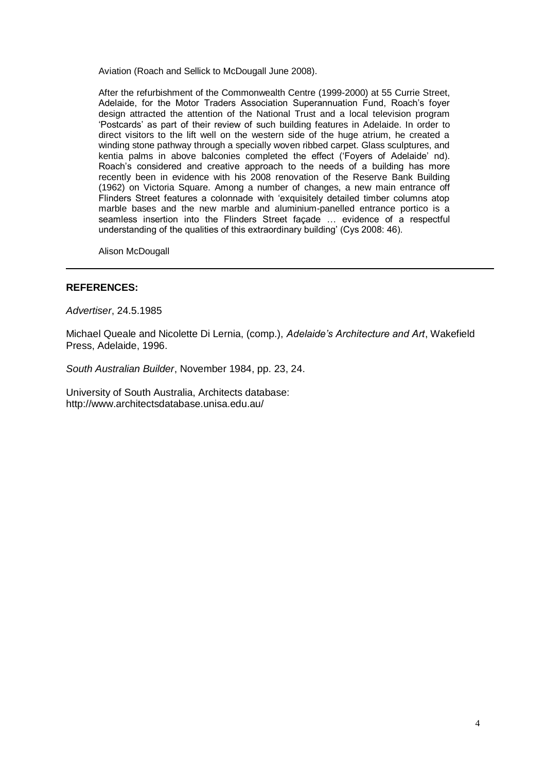Aviation (Roach and Sellick to McDougall June 2008).

After the refurbishment of the Commonwealth Centre (1999-2000) at 55 Currie Street, Adelaide, for the Motor Traders Association Superannuation Fund, Roach's foyer design attracted the attention of the National Trust and a local television program 'Postcards' as part of their review of such building features in Adelaide. In order to direct visitors to the lift well on the western side of the huge atrium, he created a winding stone pathway through a specially woven ribbed carpet. Glass sculptures, and kentia palms in above balconies completed the effect ('Foyers of Adelaide' nd). Roach's considered and creative approach to the needs of a building has more recently been in evidence with his 2008 renovation of the Reserve Bank Building (1962) on Victoria Square. Among a number of changes, a new main entrance off Flinders Street features a colonnade with 'exquisitely detailed timber columns atop marble bases and the new marble and aluminium-panelled entrance portico is a seamless insertion into the Flinders Street façade … evidence of a respectful understanding of the qualities of this extraordinary building' (Cys 2008: 46).

Alison McDougall

### **REFERENCES:**

*Advertiser*, 24.5.1985

Michael Queale and Nicolette Di Lernia, (comp.), *Adelaide's Architecture and Art*, Wakefield Press, Adelaide, 1996.

*South Australian Builder*, November 1984, pp. 23, 24.

University of South Australia, Architects database: http://www.architectsdatabase.unisa.edu.au/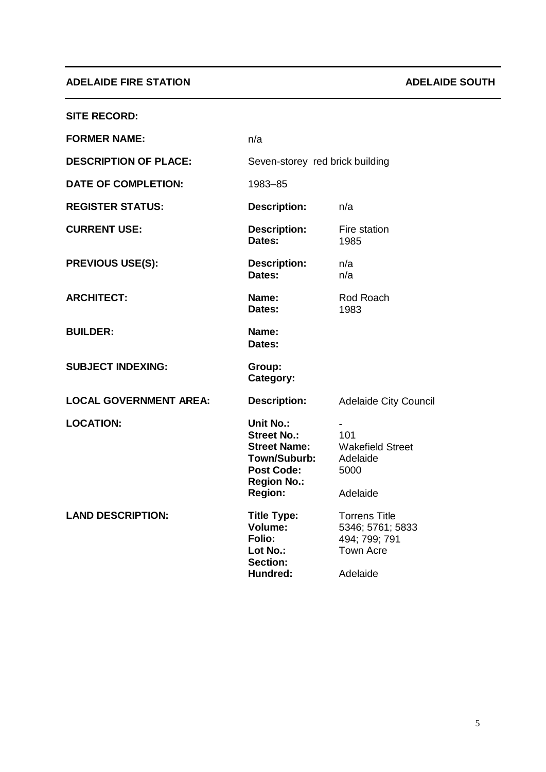## **ADELAIDE FIRE STATION ADELAIDE SOUTH**

| <b>SITE RECORD:</b>           |                                                                                                                                                   |                                                                                           |
|-------------------------------|---------------------------------------------------------------------------------------------------------------------------------------------------|-------------------------------------------------------------------------------------------|
| <b>FORMER NAME:</b>           | n/a                                                                                                                                               |                                                                                           |
| <b>DESCRIPTION OF PLACE:</b>  | Seven-storey red brick building                                                                                                                   |                                                                                           |
| <b>DATE OF COMPLETION:</b>    | 1983-85                                                                                                                                           |                                                                                           |
| <b>REGISTER STATUS:</b>       | <b>Description:</b>                                                                                                                               | n/a                                                                                       |
| <b>CURRENT USE:</b>           | <b>Description:</b><br>Dates:                                                                                                                     | Fire station<br>1985                                                                      |
| <b>PREVIOUS USE(S):</b>       | <b>Description:</b><br>Dates:                                                                                                                     | n/a<br>n/a                                                                                |
| <b>ARCHITECT:</b>             | Name:<br>Dates:                                                                                                                                   | Rod Roach<br>1983                                                                         |
| <b>BUILDER:</b>               | Name:<br>Dates:                                                                                                                                   |                                                                                           |
| <b>SUBJECT INDEXING:</b>      | Group:<br>Category:                                                                                                                               |                                                                                           |
| <b>LOCAL GOVERNMENT AREA:</b> | <b>Description:</b>                                                                                                                               | <b>Adelaide City Council</b>                                                              |
| <b>LOCATION:</b>              | <b>Unit No.:</b><br><b>Street No.:</b><br><b>Street Name:</b><br><b>Town/Suburb:</b><br><b>Post Code:</b><br><b>Region No.:</b><br><b>Region:</b> | 101<br><b>Wakefield Street</b><br>Adelaide<br>5000<br>Adelaide                            |
| <b>LAND DESCRIPTION:</b>      | <b>Title Type:</b><br>Volume:<br><b>Folio:</b><br>Lot No.:<br><b>Section:</b><br>Hundred:                                                         | <b>Torrens Title</b><br>5346; 5761; 5833<br>494; 799; 791<br><b>Town Acre</b><br>Adelaide |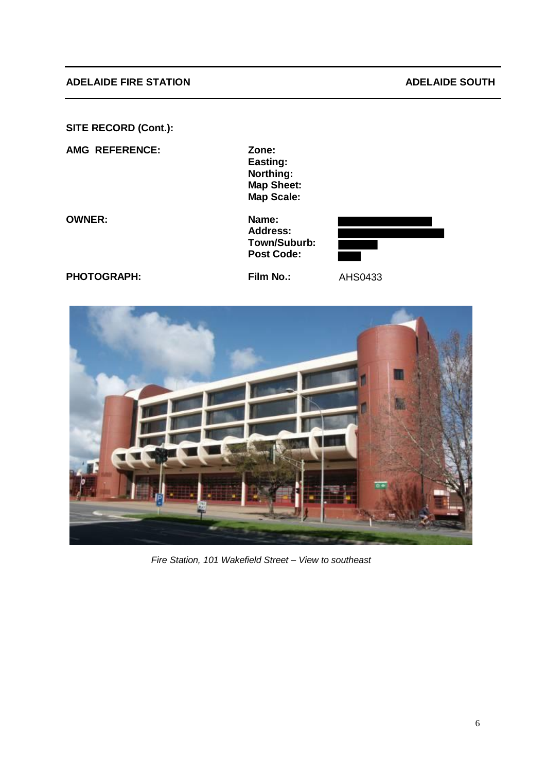### **ADELAIDE FIRE STATION ADELAIDE SOUTH**

**SITE RECORD (Cont.):** 

**AMG REFERENCE: Zone:**

**Easting: Northing: Map Sheet: Map Scale:**

**OWNER: Name:**

**Address: Town/Suburb: Post Code:**



**PHOTOGRAPH: Film No.:** AHS0433



*Fire Station, 101 Wakefield Street – View to southeast*